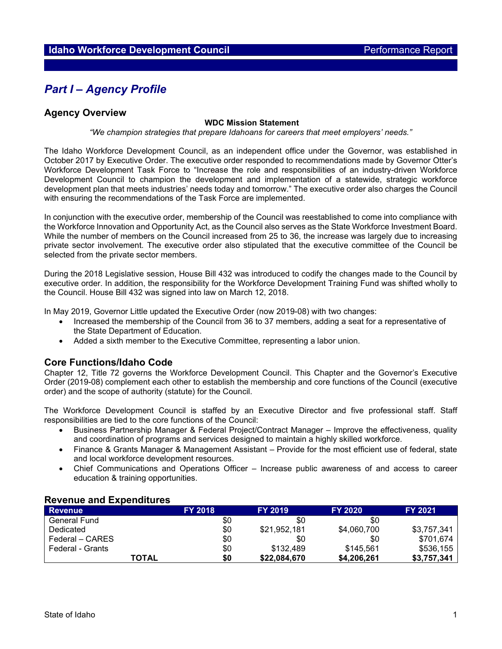# *Part I – Agency Profile*

# **Agency Overview**

#### **WDC Mission Statement**

*"We champion strategies that prepare Idahoans for careers that meet employers' needs."*

The Idaho Workforce Development Council, as an independent office under the Governor, was established in October 2017 by Executive Order. The executive order responded to recommendations made by Governor Otter's Workforce Development Task Force to "Increase the role and responsibilities of an industry-driven Workforce Development Council to champion the development and implementation of a statewide, strategic workforce development plan that meets industries' needs today and tomorrow." The executive order also charges the Council with ensuring the recommendations of the Task Force are implemented.

In conjunction with the executive order, membership of the Council was reestablished to come into compliance with the Workforce Innovation and Opportunity Act, as the Council also serves as the State Workforce Investment Board. While the number of members on the Council increased from 25 to 36, the increase was largely due to increasing private sector involvement. The executive order also stipulated that the executive committee of the Council be selected from the private sector members.

During the 2018 Legislative session, House Bill 432 was introduced to codify the changes made to the Council by executive order. In addition, the responsibility for the Workforce Development Training Fund was shifted wholly to the Council. House Bill 432 was signed into law on March 12, 2018.

In May 2019, Governor Little updated the Executive Order (now 2019-08) with two changes:

- Increased the membership of the Council from 36 to 37 members, adding a seat for a representative of the State Department of Education.
- Added a sixth member to the Executive Committee, representing a labor union.

## **Core Functions/Idaho Code**

Chapter 12, Title 72 governs the Workforce Development Council. This Chapter and the Governor's Executive Order (2019-08) complement each other to establish the membership and core functions of the Council (executive order) and the scope of authority (statute) for the Council.

The Workforce Development Council is staffed by an Executive Director and five professional staff. Staff responsibilities are tied to the core functions of the Council:

- Business Partnership Manager & Federal Project/Contract Manager Improve the effectiveness, quality and coordination of programs and services designed to maintain a highly skilled workforce.
- Finance & Grants Manager & Management Assistant Provide for the most efficient use of federal, state and local workforce development resources.
- Chief Communications and Operations Officer Increase public awareness of and access to career education & training opportunities.

| <b>Revenue</b>   | <b>FY 2018</b> | <b>FY 2019</b> | <b>FY 2020</b> | <b>FY 2021</b> |
|------------------|----------------|----------------|----------------|----------------|
| General Fund     | \$0            | \$0            | \$0            |                |
| Dedicated        | \$0            | \$21,952,181   | \$4,060,700    | \$3,757,341    |
| Federal – CARES  | \$0            | \$0            | \$0            | \$701,674      |
| Federal - Grants | \$0            | \$132,489      | \$145.561      | \$536,155      |
| TOTAL            | \$0            | \$22,084,670   | \$4,206,261    | \$3,757,341    |

## **Revenue and Expenditures**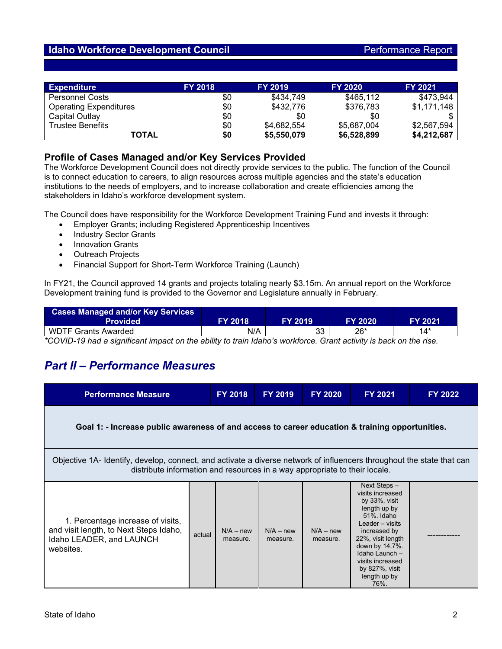# **Idaho Workforce Development Council Performance Report Performance Report**

| <b>Expenditure</b>            | <b>FY 2018</b> | <b>FY 2019</b> | <b>FY 2020</b> | <b>FY 2021</b> |
|-------------------------------|----------------|----------------|----------------|----------------|
| <b>Personnel Costs</b>        | \$0            | \$434,749      | \$465,112      | \$473,944      |
| <b>Operating Expenditures</b> | \$0            | \$432,776      | \$376,783      | \$1,171,148    |
| Capital Outlay                | \$0            | \$0            | \$0            |                |
| <b>Trustee Benefits</b>       | \$0            | \$4,682,554    | \$5,687,004    | \$2,567,594    |
| <b>TOTAL</b>                  | \$0            | \$5,550,079    | \$6,528,899    | \$4,212,687    |

# **Profile of Cases Managed and/or Key Services Provided**

The Workforce Development Council does not directly provide services to the public. The function of the Council is to connect education to careers, to align resources across multiple agencies and the state's education institutions to the needs of employers, and to increase collaboration and create efficiencies among the stakeholders in Idaho's workforce development system.

The Council does have responsibility for the Workforce Development Training Fund and invests it through:

- Employer Grants; including Registered Apprenticeship Incentives
- Industry Sector Grants
- Innovation Grants
- Outreach Projects
- Financial Support for Short-Term Workforce Training (Launch)

In FY21, the Council approved 14 grants and projects totaling nearly \$3.15m. An annual report on the Workforce Development training fund is provided to the Governor and Legislature annually in February.

| <b>Cases Managed and/or Key Services</b><br><b>Provided</b> | <b>FY 2018</b> | FY 2019 | FY 2020 | <b>FY 2021</b> |  |
|-------------------------------------------------------------|----------------|---------|---------|----------------|--|
| <b>WDTF Grants Awarded</b>                                  | N/A            | 33      | 26*     | 14*            |  |
|                                                             |                |         |         |                |  |

*\*COVID-19 had a significant impact on the ability to train Idaho's workforce. Grant activity is back on the rise.*

# *Part II – Performance Measures*

| <b>Performance Measure</b>                                                                                                                                                                          |        | <b>FY 2018</b>          | <b>FY 2019</b>          | <b>FY 2020</b>          | <b>FY 2021</b>                                                                                                                                                                                                                                | <b>FY 2022</b> |  |
|-----------------------------------------------------------------------------------------------------------------------------------------------------------------------------------------------------|--------|-------------------------|-------------------------|-------------------------|-----------------------------------------------------------------------------------------------------------------------------------------------------------------------------------------------------------------------------------------------|----------------|--|
| Goal 1: - Increase public awareness of and access to career education & training opportunities.                                                                                                     |        |                         |                         |                         |                                                                                                                                                                                                                                               |                |  |
| Objective 1A- Identify, develop, connect, and activate a diverse network of influencers throughout the state that can<br>distribute information and resources in a way appropriate to their locale. |        |                         |                         |                         |                                                                                                                                                                                                                                               |                |  |
| 1. Percentage increase of visits,<br>and visit length, to Next Steps Idaho,<br>Idaho LEADER, and LAUNCH<br>websites.                                                                                | actual | $N/A - new$<br>measure. | $N/A - new$<br>measure. | $N/A - new$<br>measure. | Next Steps -<br>visits increased<br>by $33\%$ , visit<br>length up by<br>51%, Idaho<br>Leader - visits<br>increased by<br>22%, visit length<br>down by 14.7%.<br>Idaho Launch -<br>visits increased<br>by 827%, visit<br>length up by<br>76%. |                |  |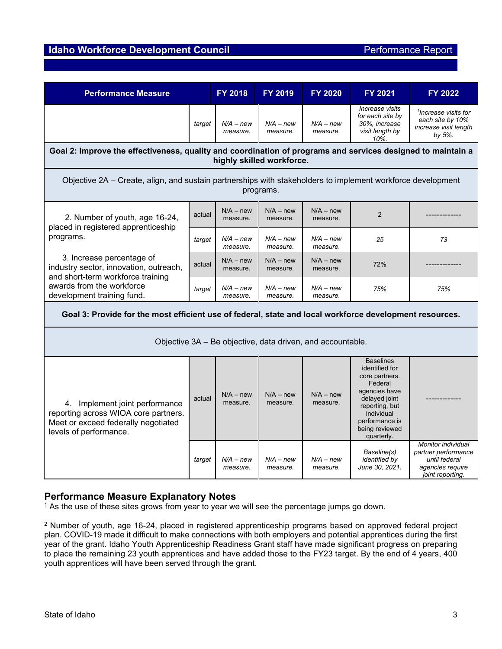# **Idaho Workforce Development Council Performance Report Performance Report**

| <b>Performance Measure</b>                                                                                                                                          |        | <b>FY 2018</b>          | <b>FY 2019</b>          | <b>FY 2020</b>          | <b>FY 2021</b>                                                                                                                                                                      | <b>FY 2022</b>                                                                                            |  |
|---------------------------------------------------------------------------------------------------------------------------------------------------------------------|--------|-------------------------|-------------------------|-------------------------|-------------------------------------------------------------------------------------------------------------------------------------------------------------------------------------|-----------------------------------------------------------------------------------------------------------|--|
|                                                                                                                                                                     | target | $N/A - new$<br>measure. | $N/A - new$<br>measure. | $N/A - new$<br>measure. | Increase visits<br>for each site by<br>30%, increase<br>visit length by<br>10%                                                                                                      | <sup>1</sup> Increase visits for<br>each site by 10%<br>increase visit length<br>by 5%.                   |  |
| Goal 2: Improve the effectiveness, quality and coordination of programs and services designed to maintain a<br>highly skilled workforce.                            |        |                         |                         |                         |                                                                                                                                                                                     |                                                                                                           |  |
| Objective 2A – Create, align, and sustain partnerships with stakeholders to implement workforce development<br>programs.                                            |        |                         |                         |                         |                                                                                                                                                                                     |                                                                                                           |  |
| 2. Number of youth, age 16-24,<br>placed in registered apprenticeship<br>programs.                                                                                  | actual | $N/A - new$<br>measure. | $N/A - new$<br>measure. | $N/A - new$<br>measure. | $\overline{2}$                                                                                                                                                                      |                                                                                                           |  |
|                                                                                                                                                                     | target | $N/A - new$<br>measure. | $N/A - new$<br>measure. | $N/A - new$<br>measure. | 25                                                                                                                                                                                  | 73                                                                                                        |  |
| 3. Increase percentage of<br>industry sector, innovation, outreach,<br>and short-term workforce training<br>awards from the workforce<br>development training fund. | actual | $N/A - new$<br>measure. | $N/A - new$<br>measure. | $N/A - new$<br>measure. | 72%                                                                                                                                                                                 |                                                                                                           |  |
|                                                                                                                                                                     | target | $N/A - new$<br>measure. | $N/A - new$<br>measure. | $N/A - new$<br>measure. | 75%                                                                                                                                                                                 | 75%                                                                                                       |  |
| Goal 3: Provide for the most efficient use of federal, state and local workforce development resources.                                                             |        |                         |                         |                         |                                                                                                                                                                                     |                                                                                                           |  |
| Objective 3A - Be objective, data driven, and accountable.                                                                                                          |        |                         |                         |                         |                                                                                                                                                                                     |                                                                                                           |  |
| 4. Implement joint performance<br>reporting across WIOA core partners.<br>Meet or exceed federally negotiated<br>levels of performance.                             | actual | $N/A - new$<br>measure. | $N/A - new$<br>measure. | $N/A - new$<br>measure. | <b>Baselines</b><br>identified for<br>core partners.<br>Federal<br>agencies have<br>delayed joint<br>reporting, but<br>individual<br>performance is<br>being reviewed<br>quarterly. |                                                                                                           |  |
|                                                                                                                                                                     | target | N/A – new<br>measure.   | $N/A - new$<br>measure. | $N/A - new$<br>measure. | Baseline(s)<br><i>identified by</i><br>June 30, 2021.                                                                                                                               | <b>Monitor individual</b><br>partner performance<br>until federal<br>agencies require<br>joint reporting. |  |

# **Performance Measure Explanatory Notes**

<sup>1</sup> As the use of these sites grows from year to year we will see the percentage jumps go down.

<sup>2</sup> Number of youth, age 16-24, placed in registered apprenticeship programs based on approved federal project plan. COVID-19 made it difficult to make connections with both employers and potential apprentices during the first year of the grant. Idaho Youth Apprenticeship Readiness Grant staff have made significant progress on preparing to place the remaining 23 youth apprentices and have added those to the FY23 target. By the end of 4 years, 400 youth apprentices will have been served through the grant.